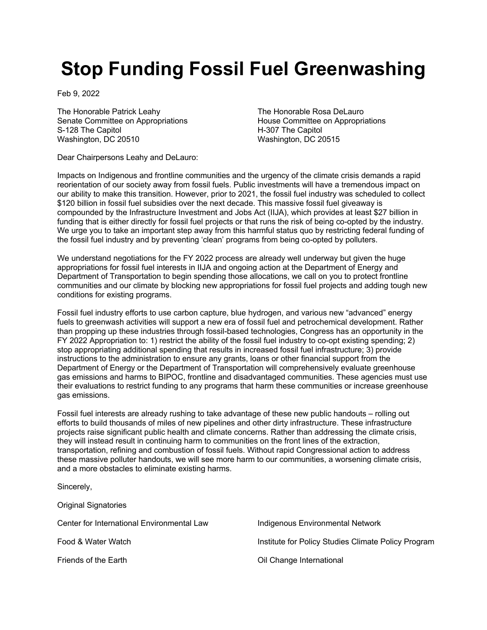## **Stop Funding Fossil Fuel Greenwashing**

Feb 9, 2022

The Honorable Patrick Leahy Senate Committee on Appropriations S-128 The Capitol Washington, DC 20510

The Honorable Rosa DeLauro House Committee on Appropriations H-307 The Capitol Washington, DC 20515

Dear Chairpersons Leahy and DeLauro:

Impacts on Indigenous and frontline communities and the urgency of the climate crisis demands a rapid reorientation of our society away from fossil fuels. Public investments will have a tremendous impact on our ability to make this transition. However, prior to 2021, the fossil fuel industry was scheduled to collect \$120 billion in fossil fuel subsidies over the next decade. This massive fossil fuel giveaway is compounded by the Infrastructure Investment and Jobs Act (IIJA), which provides at least \$27 billion in funding that is either directly for fossil fuel projects or that runs the risk of being co-opted by the industry. We urge you to take an important step away from this harmful status quo by restricting federal funding of the fossil fuel industry and by preventing 'clean' programs from being co-opted by polluters.

We understand negotiations for the FY 2022 process are already well underway but given the huge appropriations for fossil fuel interests in IIJA and ongoing action at the Department of Energy and Department of Transportation to begin spending those allocations, we call on you to protect frontline communities and our climate by blocking new appropriations for fossil fuel projects and adding tough new conditions for existing programs.

Fossil fuel industry efforts to use carbon capture, blue hydrogen, and various new "advanced" energy fuels to greenwash activities will support a new era of fossil fuel and petrochemical development. Rather than propping up these industries through fossil-based technologies, Congress has an opportunity in the FY 2022 Appropriation to: 1) restrict the ability of the fossil fuel industry to co-opt existing spending; 2) stop appropriating additional spending that results in increased fossil fuel infrastructure; 3) provide instructions to the administration to ensure any grants, loans or other financial support from the Department of Energy or the Department of Transportation will comprehensively evaluate greenhouse gas emissions and harms to BIPOC, frontline and disadvantaged communities. These agencies must use their evaluations to restrict funding to any programs that harm these communities or increase greenhouse gas emissions.

Fossil fuel interests are already rushing to take advantage of these new public handouts – rolling out efforts to build thousands of miles of new pipelines and other dirty infrastructure. These infrastructure projects raise significant public health and climate concerns. Rather than addressing the climate crisis, they will instead result in continuing harm to communities on the front lines of the extraction, transportation, refining and combustion of fossil fuels. Without rapid Congressional action to address these massive polluter handouts, we will see more harm to our communities, a worsening climate crisis, and a more obstacles to eliminate existing harms.

Sincerely, Original Signatories Center for International Environmental Law Food & Water Watch Friends of the Earth Indigenous Environmental Network Institute for Policy Studies Climate Policy Program Oil Change International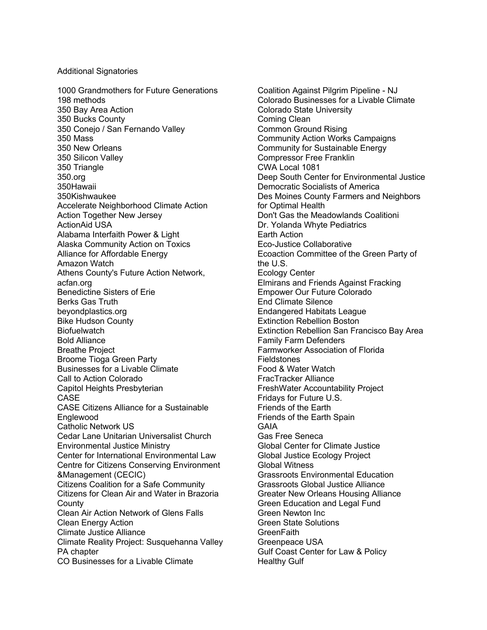## Additional Signatories

1000 Grandmothers for Future Generations 198 methods 350 Bay Area Action 350 Bucks County 350 Conejo / San Fernando Valley 350 Mass 350 New Orleans 350 Silicon Valley 350 Triangle 350.org 350Hawaii 350Kishwaukee Accelerate Neighborhood Climate Action Action Together New Jersey ActionAid USA Alabama Interfaith Power & Light Alaska Community Action on Toxics Alliance for Affordable Energy Amazon Watch Athens County's Future Action Network, acfan.org Benedictine Sisters of Erie Berks Gas Truth beyondplastics.org Bike Hudson County **Biofuelwatch** Bold Alliance Breathe Project Broome Tioga Green Party Businesses for a Livable Climate Call to Action Colorado Capitol Heights Presbyterian CASE CASE Citizens Alliance for a Sustainable **Englewood** Catholic Network US Cedar Lane Unitarian Universalist Church Environmental Justice Ministry Center for International Environmental Law Centre for Citizens Conserving Environment &Management (CECIC) Citizens Coalition for a Safe Community Citizens for Clean Air and Water in Brazoria **County** Clean Air Action Network of Glens Falls Clean Energy Action Climate Justice Alliance Climate Reality Project: Susquehanna Valley PA chapter CO Businesses for a Livable Climate

Coalition Against Pilgrim Pipeline - NJ Colorado Businesses for a Livable Climate Colorado State University Coming Clean Common Ground Rising Community Action Works Campaigns Community for Sustainable Energy Compressor Free Franklin CWA Local 1081 Deep South Center for Environmental Justice Democratic Socialists of America Des Moines County Farmers and Neighbors for Optimal Health Don't Gas the Meadowlands Coalitioni Dr. Yolanda Whyte Pediatrics Earth Action Eco-Justice Collaborative Ecoaction Committee of the Green Party of the U.S. Ecology Center Elmirans and Friends Against Fracking Empower Our Future Colorado End Climate Silence Endangered Habitats League Extinction Rebellion Boston Extinction Rebellion San Francisco Bay Area Family Farm Defenders Farmworker Association of Florida Fieldstones Food & Water Watch FracTracker Alliance FreshWater Accountability Project Fridays for Future U.S. Friends of the Earth Friends of the Earth Spain GAIA Gas Free Seneca Global Center for Climate Justice Global Justice Ecology Project Global Witness Grassroots Environmental Education Grassroots Global Justice Alliance Greater New Orleans Housing Alliance Green Education and Legal Fund Green Newton Inc Green State Solutions **GreenFaith** Greenpeace USA Gulf Coast Center for Law & Policy Healthy Gulf